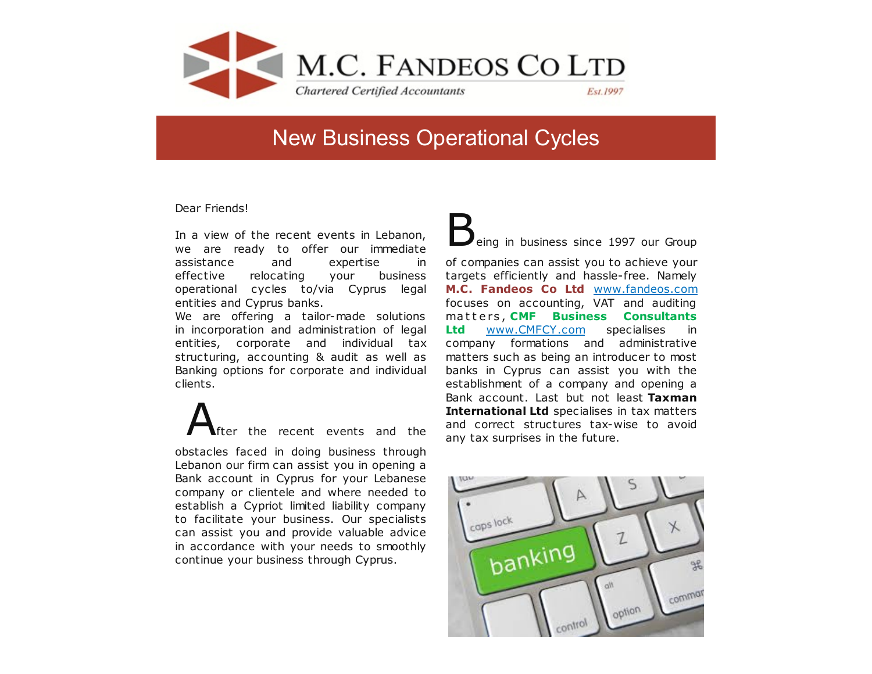

## New Business Operational Cycles

Dear Friends!

In a view of the recent events in Lebanon, we are ready to offer our immediate assistance and expertise in effective relocating your business operational cycles to/via Cyprus legal entities and Cyprus banks.

We are offering a tailor-made solutions in incorporation and administration of legal entities, corporate and individual tax structuring, accounting & audit as well as Banking options for corporate and individual clients.

the recent events and the obstacles faced in doing business through Lebanon our firm can assist you in opening a Bank account in Cyprus for your Lebanese company or clientele and where needed to establish a Cypriot limited liability company to facilitate your business. Our specialists can assist you and provide valuable advice in accordance with your needs to smoothly continue your business through Cyprus.

 $\dot{}$ eing in business since 1997 our Group

of companies can assist you to achieve your targets efficiently and hassle-free. Namely **M.C. Fandeos Co Ltd** [www.fandeos.com](http://www.fandeos.com) focuses on accounting, VAT and auditing ma t t e rs , **CMF Business Consultants Ltd** [www.CMFCY.com](http://www.cmfcy.com) specialises in company formations and administrative matters such as being an introducer to most banks in Cyprus can assist you with the establishment of a company and opening a Bank account. Last but not least **Taxman International Ltd** specialises in tax matters and correct structures tax-wise to avoid any tax surprises in the future.